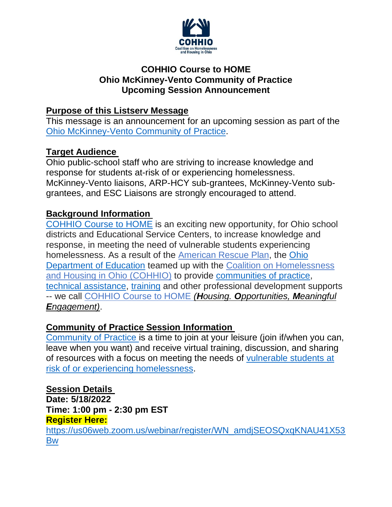

### **COHHIO Course to HOME Ohio McKinney-Vento Community of Practice Upcoming Session Announcement**

### **Purpose of this Listserv Message**

This message is an announcement for an upcoming session as part of the [Ohio McKinney-Vento Community of Practice.](https://cohhio.org/wp-content/uploads/2022/03/Guide-to-Community-of-Practice-3.25.2022-2.pdf)

## **Target Audience**

Ohio public-school staff who are striving to increase knowledge and response for students at-risk of or experiencing homelessness. McKinney-Vento liaisons, ARP-HCY sub-grantees, McKinney-Vento subgrantees, and ESC Liaisons are strongly encouraged to attend.

### **Background Information**

[COHHIO Course to HOME](http://cohhio.org/programs/youth-initiative/) is an exciting new opportunity, for Ohio school districts and Educational Service Centers, to increase knowledge and response, in meeting the need of vulnerable students experiencing homelessness. As a result of the [American Rescue Plan,](https://education.ohio.gov/Topics/Student-Supports/Homeless-Youth/American-Rescue-Plan-Homeless-II-Funds) the [Ohio](https://education.ohio.gov/Topics/Student-Supports/Homeless-Youth)  [Department of Education](https://education.ohio.gov/Topics/Student-Supports/Homeless-Youth) teamed up with the [Coalition on Homelessness](https://cohhio.org/)  [and Housing in Ohio](https://cohhio.org/) (COHHIO) to provide [communities of practice,](https://cohhio.org/wp-content/uploads/2022/03/Guide-to-Community-of-Practice-3.25.2022-2.pdf) [technical assistance,](https://cohhio.org/wp-content/uploads/2022/03/Guide-to-Technical-Assistance-3.29.2022-1.pdf) [training](https://cohhio.org/programs/tta/training-materials/) and other professional development supports -- we call [COHHIO Course to HOME](https://cohhio.org/programs/youth-initiative/ode-youth-homelessness/) *(Housing. Opportunities, Meaningful Engagement)*.

### **Community of Practice Session Information**

[Community of Practice](https://cohhio.org/wp-content/uploads/2022/03/Guide-to-Community-of-Practice-3.25.2022-2.pdf) is a time to join at your leisure (join if/when you can, leave when you want) and receive virtual training, discussion, and sharing of resources with a focus on meeting the needs of [vulnerable students at](https://education.ohio.gov/Topics/Student-Supports/Homeless-Youth/American-Rescue-Plan-Homeless-II-Funds)  [risk of or experiencing homelessness.](https://education.ohio.gov/Topics/Student-Supports/Homeless-Youth/American-Rescue-Plan-Homeless-II-Funds)

# **Session Details**

**Date: 5/18/2022 Time: 1:00 pm - 2:30 pm EST Register Here:** [https://us06web.zoom.us/webinar/register/WN\\_amdjSEOSQxqKNAU41X53](https://us06web.zoom.us/webinar/register/WN_amdjSEOSQxqKNAU41X53Bw) [Bw](https://us06web.zoom.us/webinar/register/WN_amdjSEOSQxqKNAU41X53Bw)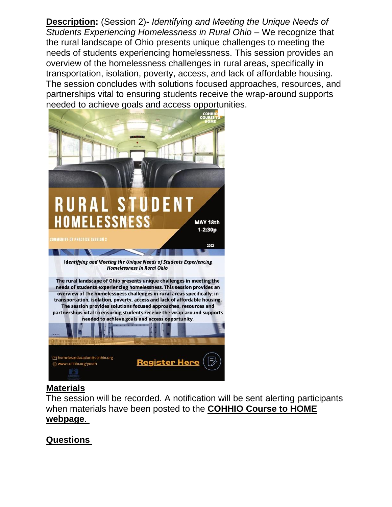**Description:** (Session 2)**-** *Identifying and Meeting the Unique Needs of Students Experiencing Homelessness in Rural Ohio* – We recognize that the rural landscape of Ohio presents unique challenges to meeting the needs of students experiencing homelessness. This session provides an overview of the homelessness challenges in rural areas, specifically in transportation, isolation, poverty, access, and lack of affordable housing. The session concludes with solutions focused approaches, resources, and partnerships vital to ensuring students receive the wrap-around supports needed to achieve goals and access opportunities.



### **Materials**

The session will be recorded. A notification will be sent alerting participants when materials have been posted to the **[COHHIO Course to HOME](https://r20.rs6.net/tn.jsp?f=001v330qO7a-L4T9ZFoz75vfaygqKD4KjxDwZMBugnM1XUIDAL_XJJrhUvP99QNYafteufLt_vgw6gQhOPCG73VksS1_vvhGEhMJlRira1CmC17Bqk07djT6cEsXzrsDMPd7mABxXkHvgnK6aNC94UhHRreeebPH9oqRJOAEzZA2ZQsbPW3DWIQzy60XyvUe274YMG6JUj7tYWBYek37nNOog==&c=_T-37GigSrlwuWHqS_LAjQAAFvd85kWdII8fbHKWavqHmMA3mzL5Cw==&ch=ttl3r808jVUk1SDOeV8W7m4kxQkFC1gs88euwbHWyQerhHLpdpHHrw==)  [webpage](https://r20.rs6.net/tn.jsp?f=001v330qO7a-L4T9ZFoz75vfaygqKD4KjxDwZMBugnM1XUIDAL_XJJrhUvP99QNYafteufLt_vgw6gQhOPCG73VksS1_vvhGEhMJlRira1CmC17Bqk07djT6cEsXzrsDMPd7mABxXkHvgnK6aNC94UhHRreeebPH9oqRJOAEzZA2ZQsbPW3DWIQzy60XyvUe274YMG6JUj7tYWBYek37nNOog==&c=_T-37GigSrlwuWHqS_LAjQAAFvd85kWdII8fbHKWavqHmMA3mzL5Cw==&ch=ttl3r808jVUk1SDOeV8W7m4kxQkFC1gs88euwbHWyQerhHLpdpHHrw==)**.

### **Questions**